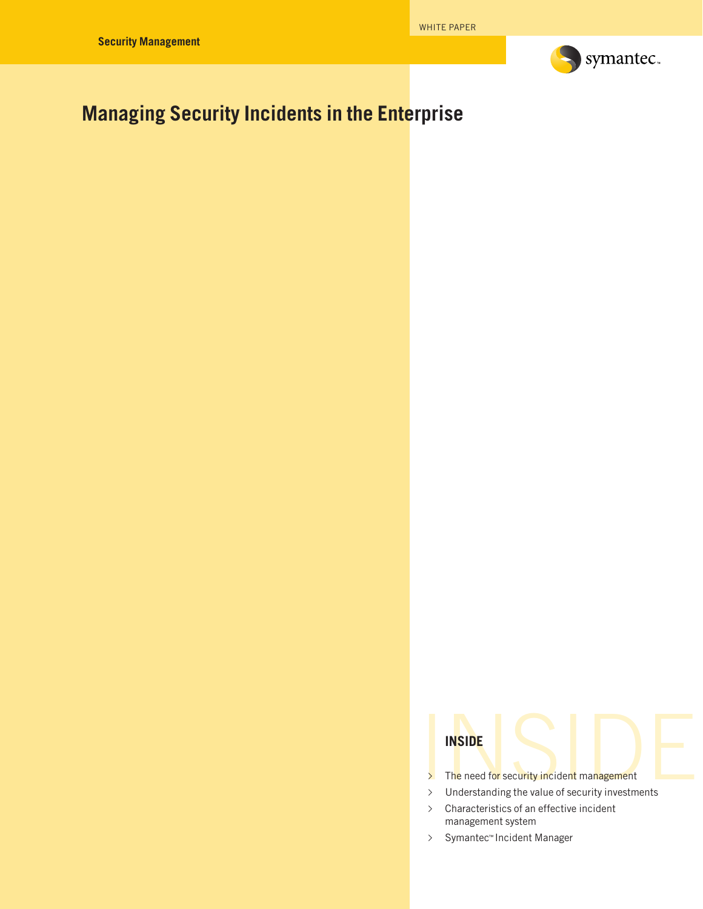

# **Managing Security Incidents in the Enterprise**



- ∆ Characteristics of an effective incident management system
- ∆ Symantec™ Incident Manager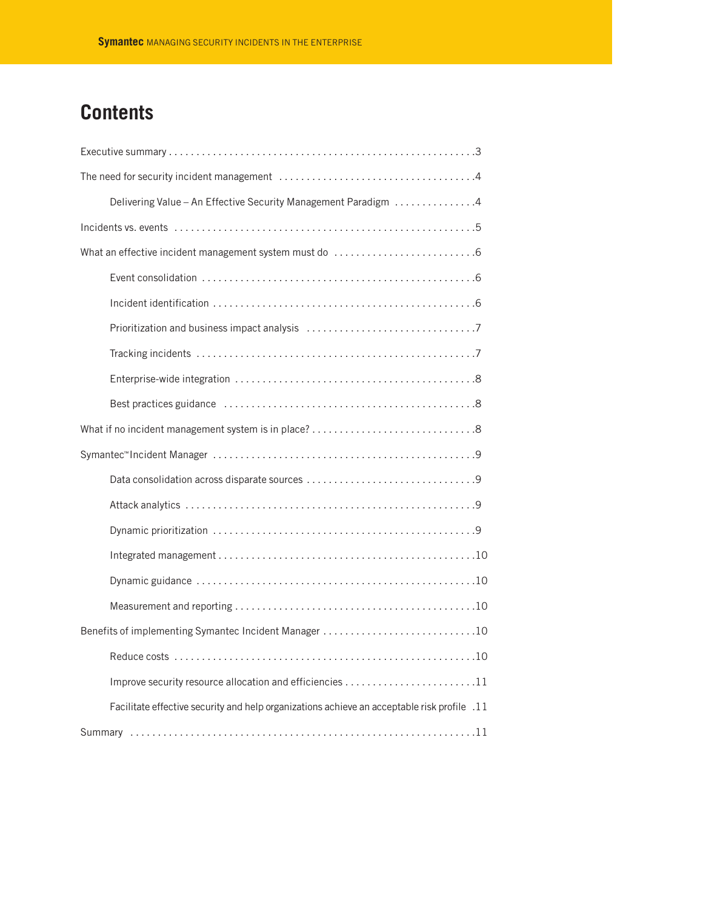# **Contents**

| Delivering Value - An Effective Security Management Paradigm 4                              |
|---------------------------------------------------------------------------------------------|
|                                                                                             |
|                                                                                             |
|                                                                                             |
|                                                                                             |
|                                                                                             |
|                                                                                             |
|                                                                                             |
|                                                                                             |
|                                                                                             |
|                                                                                             |
|                                                                                             |
|                                                                                             |
|                                                                                             |
|                                                                                             |
|                                                                                             |
|                                                                                             |
| Benefits of implementing Symantec Incident Manager 10                                       |
|                                                                                             |
|                                                                                             |
| Facilitate effective security and help organizations achieve an acceptable risk profile .11 |
|                                                                                             |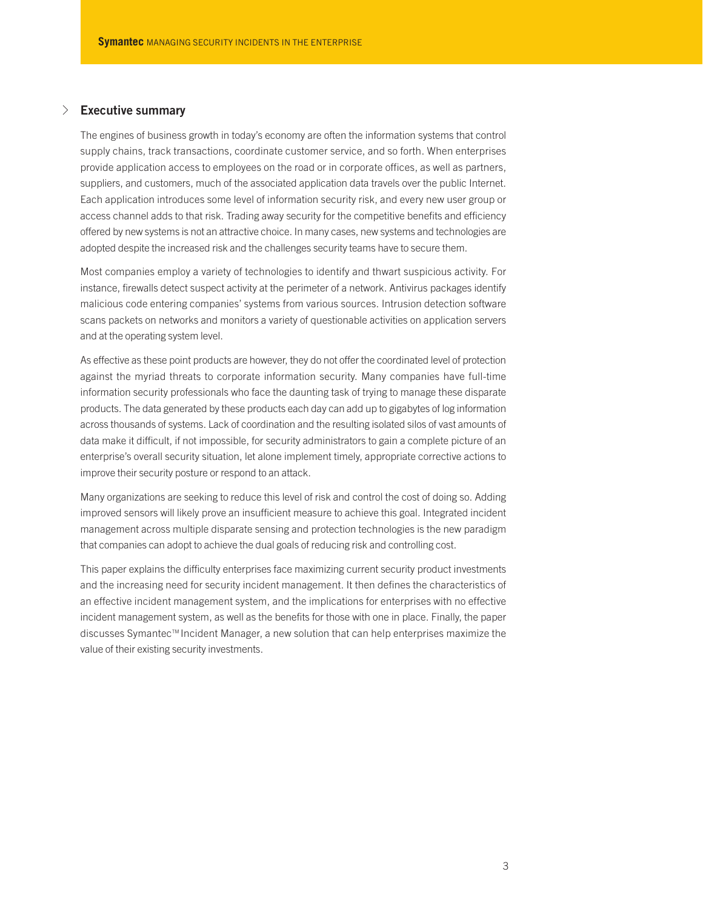# √ **Executive summary**

The engines of business growth in today's economy are often the information systems that control supply chains, track transactions, coordinate customer service, and so forth. When enterprises provide application access to employees on the road or in corporate offices, as well as partners, suppliers, and customers, much of the associated application data travels over the public Internet. Each application introduces some level of information security risk, and every new user group or access channel adds to that risk. Trading away security for the competitive benefits and efficiency offered by new systems is not an attractive choice. In many cases, new systems and technologies are adopted despite the increased risk and the challenges security teams have to secure them.

Most companies employ a variety of technologies to identify and thwart suspicious activity. For instance, firewalls detect suspect activity at the perimeter of a network. Antivirus packages identify malicious code entering companies' systems from various sources. Intrusion detection software scans packets on networks and monitors a variety of questionable activities on application servers and at the operating system level.

As effective as these point products are however, they do not offer the coordinated level of protection against the myriad threats to corporate information security. Many companies have full-time information security professionals who face the daunting task of trying to manage these disparate products. The data generated by these products each day can add up to gigabytes of log information across thousands of systems. Lack of coordination and the resulting isolated silos of vast amounts of data make it difficult, if not impossible, for security administrators to gain a complete picture of an enterprise's overall security situation, let alone implement timely, appropriate corrective actions to improve their security posture or respond to an attack.

Many organizations are seeking to reduce this level of risk and control the cost of doing so. Adding improved sensors will likely prove an insufficient measure to achieve this goal. Integrated incident management across multiple disparate sensing and protection technologies is the new paradigm that companies can adopt to achieve the dual goals of reducing risk and controlling cost.

This paper explains the difficulty enterprises face maximizing current security product investments and the increasing need for security incident management. It then defines the characteristics of an effective incident management system, and the implications for enterprises with no effective incident management system, as well as the benefits for those with one in place. Finally, the paper discusses Symantec™ Incident Manager, a new solution that can help enterprises maximize the value of their existing security investments.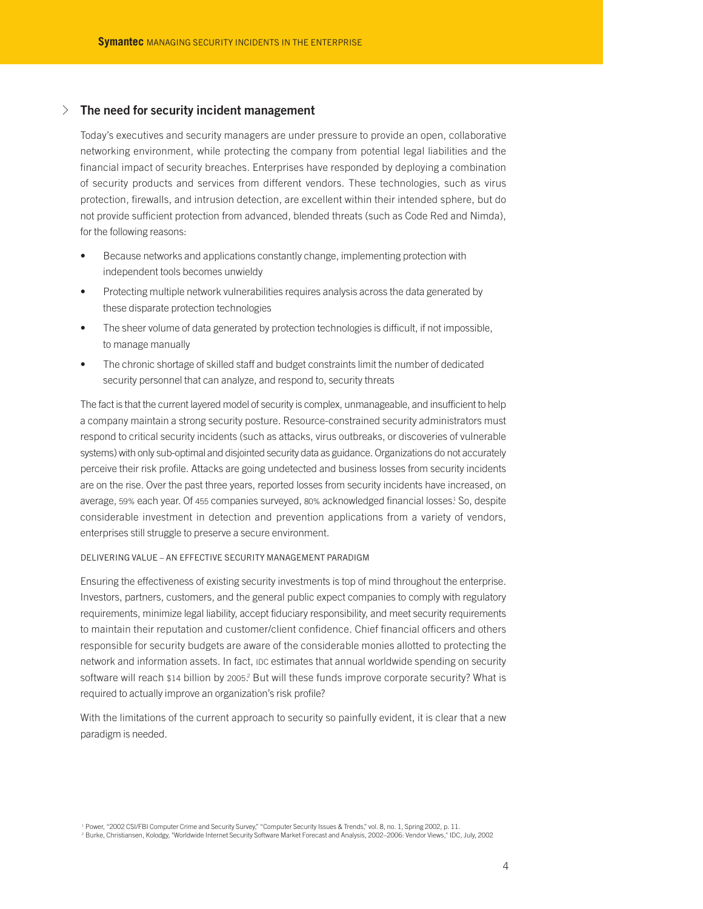# √ **The need for security incident management**

Today's executives and security managers are under pressure to provide an open, collaborative networking environment, while protecting the company from potential legal liabilities and the financial impact of security breaches. Enterprises have responded by deploying a combination of security products and services from different vendors. These technologies, such as virus protection, firewalls, and intrusion detection, are excellent within their intended sphere, but do not provide sufficient protection from advanced, blended threats (such as Code Red and Nimda), for the following reasons:

- Because networks and applications constantly change, implementing protection with independent tools becomes unwieldy
- Protecting multiple network vulnerabilities requires analysis across the data generated by these disparate protection technologies
- The sheer volume of data generated by protection technologies is difficult, if not impossible, to manage manually
- The chronic shortage of skilled staff and budget constraints limit the number of dedicated security personnel that can analyze, and respond to, security threats

The fact is that the current layered model of security is complex, unmanageable, and insufficient to help a company maintain a strong security posture. Resource-constrained security administrators must respond to critical security incidents (such as attacks, virus outbreaks, or discoveries of vulnerable systems) with only sub-optimal and disjointed security data as guidance. Organizations do not accurately perceive their risk profile. Attacks are going undetected and business losses from security incidents are on the rise. Over the past three years, reported losses from security incidents have increased, on average, 59% each year. Of 455 companies surveyed, 80% acknowledged financial losses! So, despite considerable investment in detection and prevention applications from a variety of vendors, enterprises still struggle to preserve a secure environment.

#### DELIVERING VALUE – AN EFFECTIVE SECURITY MANAGEMENT PARADIGM

Ensuring the effectiveness of existing security investments is top of mind throughout the enterprise. Investors, partners, customers, and the general public expect companies to comply with regulatory requirements, minimize legal liability, accept fiduciary responsibility, and meet security requirements to maintain their reputation and customer/client confidence. Chief financial officers and others responsible for security budgets are aware of the considerable monies allotted to protecting the network and information assets. In fact, IDC estimates that annual worldwide spending on security software will reach \$14 billion by 2005.<sup>2</sup> But will these funds improve corporate security? What is required to actually improve an organization's risk profile?

With the limitations of the current approach to security so painfully evident, it is clear that a new paradigm is needed.

<sup>1</sup> Power, "2002 CSI/FBI Computer Crime and Security Survey," "Computer Security Issues & Trends," vol. 8, no. 1, Spring 2002, p. 11.

<sup>&</sup>lt;sup>2</sup> Burke, Christiansen, Kolodgy, "Worldwide Internet Security Software Market Forecast and Analysis, 2002-2006: Vendor Views," IDC, July, 2002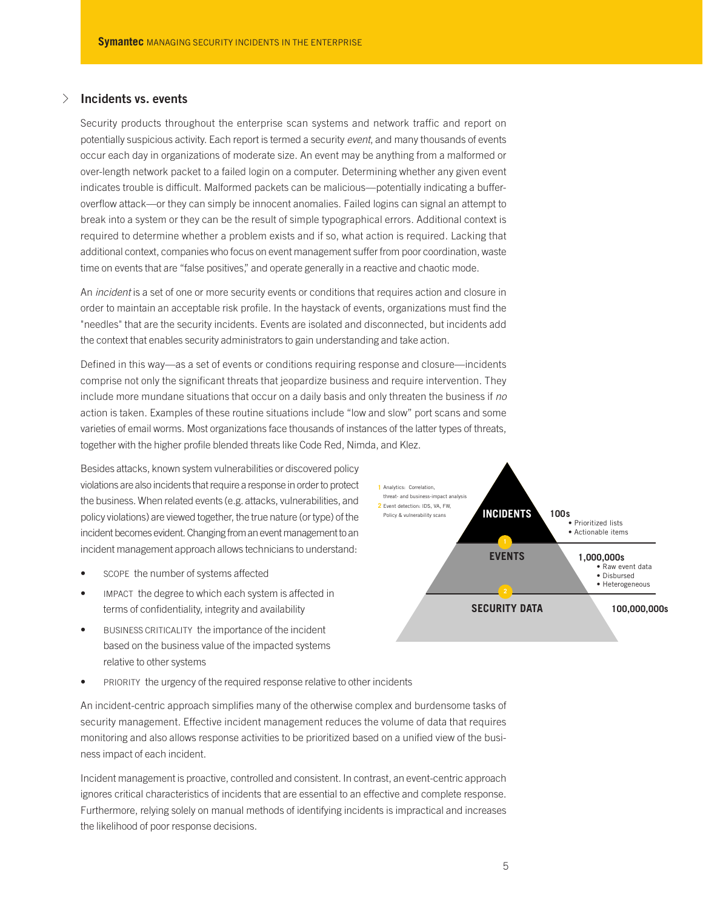# √ **Incidents vs. events**

Security products throughout the enterprise scan systems and network traffic and report on potentially suspicious activity. Each report is termed a security *event*, and many thousands of events occur each day in organizations of moderate size. An event may be anything from a malformed or over-length network packet to a failed login on a computer. Determining whether any given event indicates trouble is difficult. Malformed packets can be malicious—potentially indicating a bufferoverflow attack—or they can simply be innocent anomalies. Failed logins can signal an attempt to break into a system or they can be the result of simple typographical errors. Additional context is required to determine whether a problem exists and if so, what action is required. Lacking that additional context, companies who focus on event management suffer from poor coordination, waste time on events that are "false positives," and operate generally in a reactive and chaotic mode.

An *incident* is a set of one or more security events or conditions that requires action and closure in order to maintain an acceptable risk profile. In the haystack of events, organizations must find the "needles" that are the security incidents. Events are isolated and disconnected, but incidents add the context that enables security administrators to gain understanding and take action.

Defined in this way—as a set of events or conditions requiring response and closure—incidents comprise not only the significant threats that jeopardize business and require intervention. They include more mundane situations that occur on a daily basis and only threaten the business if *no* action is taken. Examples of these routine situations include "low and slow" port scans and some varieties of email worms. Most organizations face thousands of instances of the latter types of threats, together with the higher profile blended threats like Code Red, Nimda, and Klez.

Besides attacks, known system vulnerabilities or discovered policy violations are also incidents that require a response in order to protect the business. When related events (e.g. attacks, vulnerabilities, and policy violations) are viewed together, the true nature (or type) of the incident becomes evident. Changing from an event management to an incident management approach allows technicians to understand:

- scope the number of systems affected
- IMPACT the degree to which each system is affected in terms of confidentiality, integrity and availability
- BUSINESS CRITICALITY the importance of the incident based on the business value of the impacted systems relative to other systems
- PRIORITY the urgency of the required response relative to other incidents

An incident-centric approach simplifies many of the otherwise complex and burdensome tasks of security management. Effective incident management reduces the volume of data that requires monitoring and also allows response activities to be prioritized based on a unified view of the business impact of each incident.

Incident management is proactive, controlled and consistent. In contrast, an event-centric approach ignores critical characteristics of incidents that are essential to an effective and complete response. Furthermore, relying solely on manual methods of identifying incidents is impractical and increases the likelihood of poor response decisions.

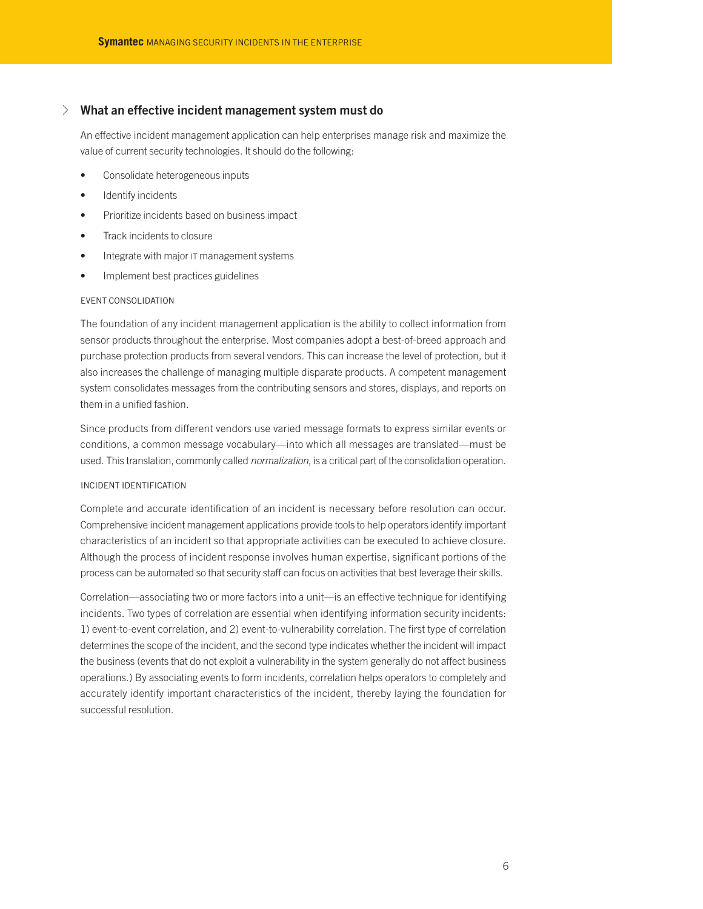# √ **What an effective incident management system must do**

An effective incident management application can help enterprises manage risk and maximize the value of current security technologies. It should do the following:

- Consolidate heterogeneous inputs
- Identify incidents
- Prioritize incidents based on business impact
- Track incidents to closure
- Integrate with major IT management systems
- Implement best practices guidelines

## EVENT CONSOLIDATION

The foundation of any incident management application is the ability to collect information from sensor products throughout the enterprise. Most companies adopt a best-of-breed approach and purchase protection products from several vendors. This can increase the level of protection, but it also increases the challenge of managing multiple disparate products. A competent management system consolidates messages from the contributing sensors and stores, displays, and reports on them in a unified fashion.

Since products from different vendors use varied message formats to express similar events or conditions, a common message vocabulary—into which all messages are translated—must be used. This translation, commonly called *normalization*, is a critical part of the consolidation operation.

### INCIDENT IDENTIFICATION

Complete and accurate identification of an incident is necessary before resolution can occur. Comprehensive incident management applications provide tools to help operators identify important characteristics of an incident so that appropriate activities can be executed to achieve closure. Although the process of incident response involves human expertise, significant portions of the process can be automated so that security staff can focus on activities that best leverage their skills.

Correlation—associating two or more factors into a unit—is an effective technique for identifying incidents. Two types of correlation are essential when identifying information security incidents: 1) event-to-event correlation, and 2) event-to-vulnerability correlation. The first type of correlation determines the scope of the incident, and the second type indicates whether the incident will impact the business (events that do not exploit a vulnerability in the system generally do not affect business operations.) By associating events to form incidents, correlation helps operators to completely and accurately identify important characteristics of the incident, thereby laying the foundation for successful resolution.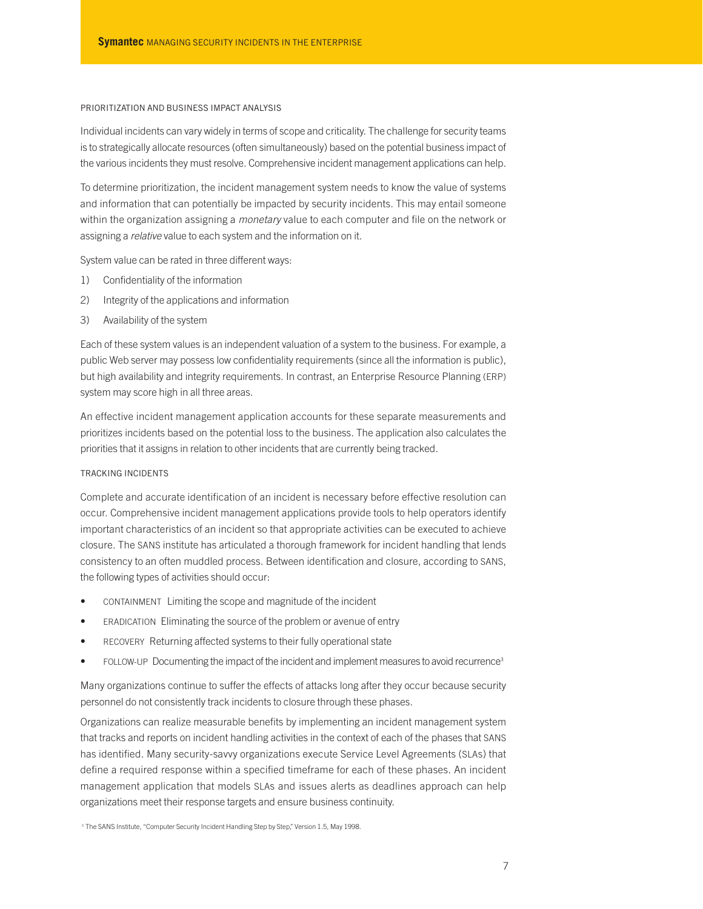### PRIORITIZATION AND BUSINESS IMPACT ANALYSIS

Individual incidents can vary widely in terms of scope and criticality. The challenge for security teams is to strategically allocate resources (often simultaneously) based on the potential business impact of the various incidents they must resolve. Comprehensive incident management applications can help.

To determine prioritization, the incident management system needs to know the value of systems and information that can potentially be impacted by security incidents. This may entail someone within the organization assigning a *monetary* value to each computer and file on the network or assigning a *relative* value to each system and the information on it.

System value can be rated in three different ways:

- 1) Confidentiality of the information
- 2) Integrity of the applications and information
- 3) Availability of the system

Each of these system values is an independent valuation of a system to the business. For example, a public Web server may possess low confidentiality requirements (since all the information is public), but high availability and integrity requirements. In contrast, an Enterprise Resource Planning (ERP) system may score high in all three areas.

An effective incident management application accounts for these separate measurements and prioritizes incidents based on the potential loss to the business. The application also calculates the priorities that it assigns in relation to other incidents that are currently being tracked.

# TRACKING INCIDENTS

Complete and accurate identification of an incident is necessary before effective resolution can occur. Comprehensive incident management applications provide tools to help operators identify important characteristics of an incident so that appropriate activities can be executed to achieve closure. The SANS institute has articulated a thorough framework for incident handling that lends consistency to an often muddled process. Between identification and closure, according to SANS, the following types of activities should occur:

- CONTAINMENT Limiting the scope and magnitude of the incident
- ERADICATION Eliminating the source of the problem or avenue of entry
- RECOVERY Returning affected systems to their fully operational state
- FOLLOW-UP Documenting the impact of the incident and implement measures to avoid recurrence<sup>3</sup>

Many organizations continue to suffer the effects of attacks long after they occur because security personnel do not consistently track incidents to closure through these phases.

Organizations can realize measurable benefits by implementing an incident management system that tracks and reports on incident handling activities in the context of each of the phases that SANS has identified. Many security-savvy organizations execute Service Level Agreements (SLAs) that define a required response within a specified timeframe for each of these phases. An incident management application that models SLAs and issues alerts as deadlines approach can help organizations meet their response targets and ensure business continuity.

<sup>&</sup>lt;sup>3</sup> The SANS Institute, "Computer Security Incident Handling Step by Step," Version 1.5, May 1998.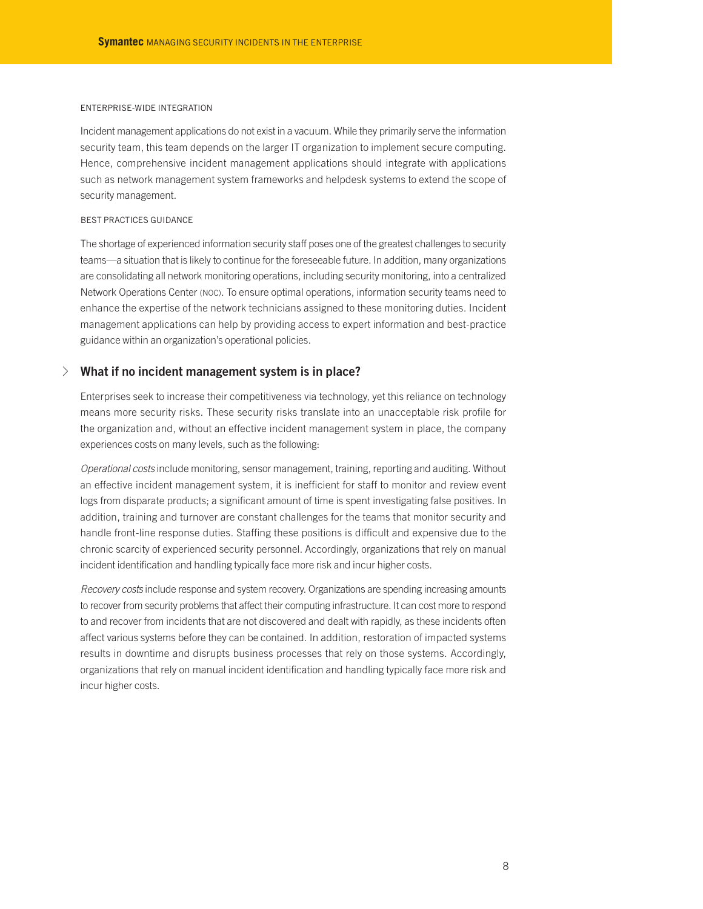#### ENTERPRISE-WIDE INTEGRATION

Incident management applications do not exist in a vacuum. While they primarily serve the information security team, this team depends on the larger IT organization to implement secure computing. Hence, comprehensive incident management applications should integrate with applications such as network management system frameworks and helpdesk systems to extend the scope of security management.

## BEST PRACTICES GUIDANCE

The shortage of experienced information security staff poses one of the greatest challenges to security teams—a situation that is likely to continue for the foreseeable future. In addition, many organizations are consolidating all network monitoring operations, including security monitoring, into a centralized Network Operations Center (NOC). To ensure optimal operations, information security teams need to enhance the expertise of the network technicians assigned to these monitoring duties. Incident management applications can help by providing access to expert information and best-practice guidance within an organization's operational policies.

# √ **What if no incident management system is in place?**

Enterprises seek to increase their competitiveness via technology, yet this reliance on technology means more security risks. These security risks translate into an unacceptable risk profile for the organization and, without an effective incident management system in place, the company experiences costs on many levels, such as the following:

*Operational costs* include monitoring, sensor management, training, reporting and auditing. Without an effective incident management system, it is inefficient for staff to monitor and review event logs from disparate products; a significant amount of time is spent investigating false positives. In addition, training and turnover are constant challenges for the teams that monitor security and handle front-line response duties. Staffing these positions is difficult and expensive due to the chronic scarcity of experienced security personnel. Accordingly, organizations that rely on manual incident identification and handling typically face more risk and incur higher costs.

*Recovery costs* include response and system recovery. Organizations are spending increasing amounts to recover from security problems that affect their computing infrastructure. It can cost more to respond to and recover from incidents that are not discovered and dealt with rapidly, as these incidents often affect various systems before they can be contained. In addition, restoration of impacted systems results in downtime and disrupts business processes that rely on those systems. Accordingly, organizations that rely on manual incident identification and handling typically face more risk and incur higher costs.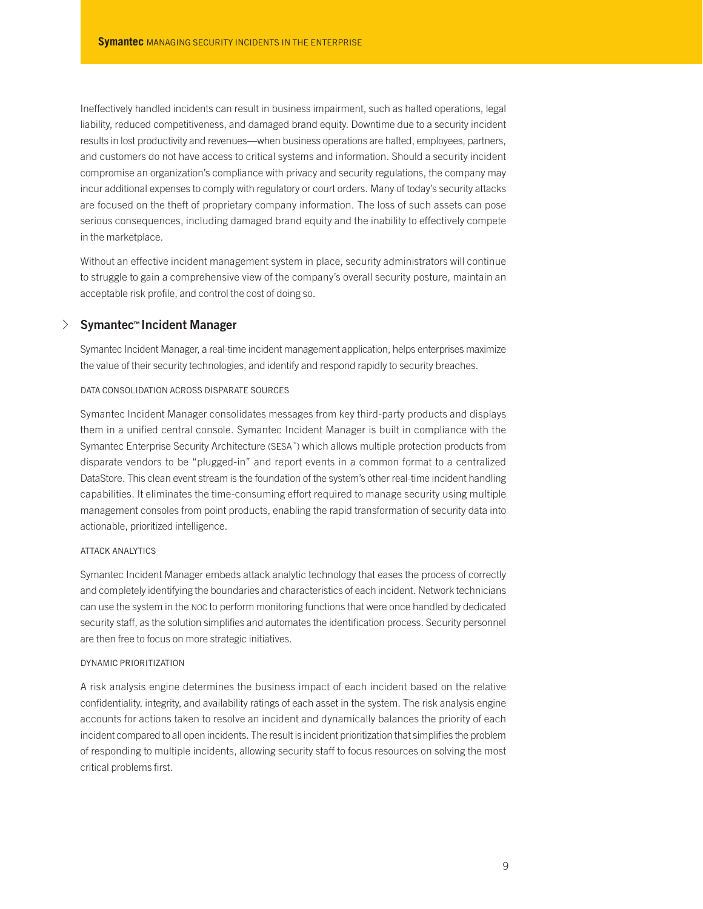Ineffectively handled incidents can result in business impairment, such as halted operations, legal liability, reduced competitiveness, and damaged brand equity. Downtime due to a security incident results in lost productivity and revenues—when business operations are halted, employees, partners, and customers do not have access to critical systems and information. Should a security incident compromise an organization's compliance with privacy and security regulations, the company may incur additional expenses to comply with regulatory or court orders. Many of today's security attacks are focused on the theft of proprietary company information. The loss of such assets can pose serious consequences, including damaged brand equity and the inability to effectively compete in the marketplace.

Without an effective incident management system in place, security administrators will continue to struggle to gain a comprehensive view of the company's overall security posture, maintain an acceptable risk profile, and control the cost of doing so.

# √ **Symantec™ Incident Manager**

Symantec Incident Manager, a real-time incident management application, helps enterprises maximize the value of their security technologies, and identify and respond rapidly to security breaches.

## DATA CONSOLIDATION ACROSS DISPARATE SOURCES

Symantec Incident Manager consolidates messages from key third-party products and displays them in a unified central console. Symantec Incident Manager is built in compliance with the Symantec Enterprise Security Architecture (SESA™) which allows multiple protection products from disparate vendors to be "plugged-in" and report events in a common format to a centralized DataStore. This clean event stream is the foundation of the system's other real-time incident handling capabilities. It eliminates the time-consuming effort required to manage security using multiple management consoles from point products, enabling the rapid transformation of security data into actionable, prioritized intelligence.

#### ATTACK ANALYTICS

Symantec Incident Manager embeds attack analytic technology that eases the process of correctly and completely identifying the boundaries and characteristics of each incident. Network technicians can use the system in the NOC to perform monitoring functions that were once handled by dedicated security staff, as the solution simplifies and automates the identification process. Security personnel are then free to focus on more strategic initiatives.

## DYNAMIC PRIORITIZATION

A risk analysis engine determines the business impact of each incident based on the relative confidentiality, integrity, and availability ratings of each asset in the system. The risk analysis engine accounts for actions taken to resolve an incident and dynamically balances the priority of each incident compared to all open incidents. The result is incident prioritization that simplifies the problem of responding to multiple incidents, allowing security staff to focus resources on solving the most critical problems first.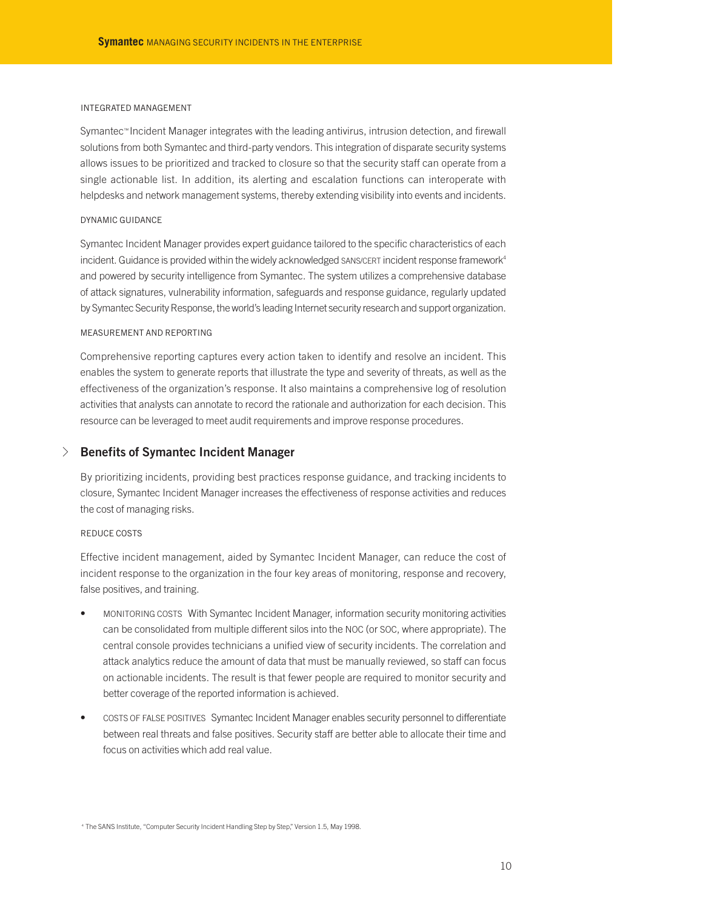#### INTEGRATED MANAGEMENT

Symantec™Incident Manager integrates with the leading antivirus, intrusion detection, and firewall solutions from both Symantec and third-party vendors. This integration of disparate security systems allows issues to be prioritized and tracked to closure so that the security staff can operate from a single actionable list. In addition, its alerting and escalation functions can interoperate with helpdesks and network management systems, thereby extending visibility into events and incidents.

## DYNAMIC GUIDANCE

Symantec Incident Manager provides expert guidance tailored to the specific characteristics of each incident. Guidance is provided within the widely acknowledged SANS/CERT incident response framework<sup>4</sup> and powered by security intelligence from Symantec. The system utilizes a comprehensive database of attack signatures, vulnerability information, safeguards and response guidance, regularly updated by Symantec Security Response, the world's leading Internet security research and support organization.

#### MEASUREMENT AND REPORTING

Comprehensive reporting captures every action taken to identify and resolve an incident. This enables the system to generate reports that illustrate the type and severity of threats, as well as the effectiveness of the organization's response. It also maintains a comprehensive log of resolution activities that analysts can annotate to record the rationale and authorization for each decision. This resource can be leveraged to meet audit requirements and improve response procedures.

# √ **Benefits of Symantec Incident Manager**

By prioritizing incidents, providing best practices response guidance, and tracking incidents to closure, Symantec Incident Manager increases the effectiveness of response activities and reduces the cost of managing risks.

# REDUCE COSTS

Effective incident management, aided by Symantec Incident Manager, can reduce the cost of incident response to the organization in the four key areas of monitoring, response and recovery, false positives, and training.

- MONITORING COSTS With Symantec Incident Manager, information security monitoring activities can be consolidated from multiple different silos into the NOC (or SOC, where appropriate). The central console provides technicians a unified view of security incidents. The correlation and attack analytics reduce the amount of data that must be manually reviewed, so staff can focus on actionable incidents. The result is that fewer people are required to monitor security and better coverage of the reported information is achieved.
- COSTS OF FALSE POSITIVES Symantec Incident Manager enables security personnel to differentiate between real threats and false positives. Security staff are better able to allocate their time and focus on activities which add real value.

<sup>&</sup>lt;sup>4</sup> The SANS Institute, "Computer Security Incident Handling Step by Step," Version 1.5, May 1998.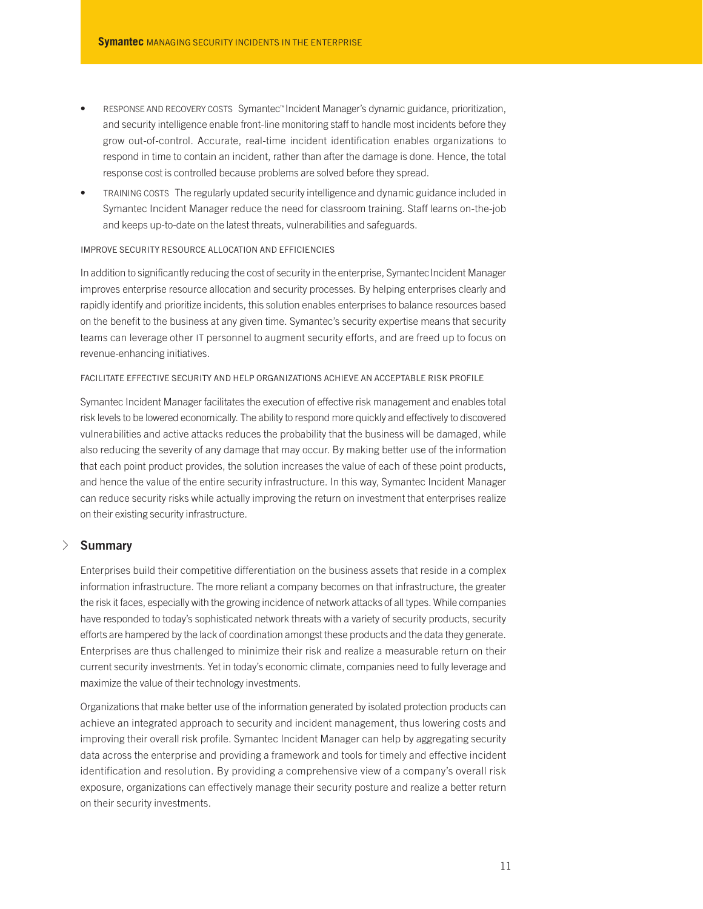- RESPONSE AND RECOVERY COSTS Symantec™Incident Manager's dynamic guidance, prioritization, and security intelligence enable front-line monitoring staff to handle most incidents before they grow out-of-control. Accurate, real-time incident identification enables organizations to respond in time to contain an incident, rather than after the damage is done. Hence, the total response cost is controlled because problems are solved before they spread.
- TRAINING COSTS The regularly updated security intelligence and dynamic guidance included in Symantec Incident Manager reduce the need for classroom training. Staff learns on-the-job and keeps up-to-date on the latest threats, vulnerabilities and safeguards.

# IMPROVE SECURITY RESOURCE ALLOCATION AND EFFICIENCIES

In addition to significantly reducing the cost of security in the enterprise, SymantecIncident Manager improves enterprise resource allocation and security processes. By helping enterprises clearly and rapidly identify and prioritize incidents, this solution enables enterprises to balance resources based on the benefit to the business at any given time. Symantec's security expertise means that security teams can leverage other IT personnel to augment security efforts, and are freed up to focus on revenue-enhancing initiatives.

## FACILITATE EFFECTIVE SECURITY AND HELP ORGANIZATIONS ACHIEVE AN ACCEPTABLE RISK PROFILE

Symantec Incident Manager facilitates the execution of effective risk management and enables total risk levels to be lowered economically. The ability to respond more quickly and effectively to discovered vulnerabilities and active attacks reduces the probability that the business will be damaged, while also reducing the severity of any damage that may occur. By making better use of the information that each point product provides, the solution increases the value of each of these point products, and hence the value of the entire security infrastructure. In this way, Symantec Incident Manager can reduce security risks while actually improving the return on investment that enterprises realize on their existing security infrastructure.

# √ **Summary**

Enterprises build their competitive differentiation on the business assets that reside in a complex information infrastructure. The more reliant a company becomes on that infrastructure, the greater the risk it faces, especially with the growing incidence of network attacks of all types. While companies have responded to today's sophisticated network threats with a variety of security products, security efforts are hampered by the lack of coordination amongst these products and the data they generate. Enterprises are thus challenged to minimize their risk and realize a measurable return on their current security investments. Yet in today's economic climate, companies need to fully leverage and maximize the value of their technology investments.

Organizations that make better use of the information generated by isolated protection products can achieve an integrated approach to security and incident management, thus lowering costs and improving their overall risk profile. Symantec Incident Manager can help by aggregating security data across the enterprise and providing a framework and tools for timely and effective incident identification and resolution. By providing a comprehensive view of a company's overall risk exposure, organizations can effectively manage their security posture and realize a better return on their security investments.